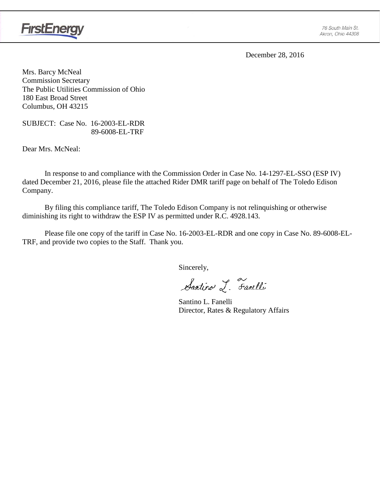

December 28, 2016

Mrs. Barcy McNeal Commission Secretary The Public Utilities Commission of Ohio 180 East Broad Street Columbus, OH 43215

SUBJECT: Case No. 16-2003-EL-RDR 89-6008-EL-TRF

Dear Mrs. McNeal:

In response to and compliance with the Commission Order in Case No. 14-1297-EL-SSO (ESP IV) dated December 21, 2016, please file the attached Rider DMR tariff page on behalf of The Toledo Edison Company.

By filing this compliance tariff, The Toledo Edison Company is not relinquishing or otherwise diminishing its right to withdraw the ESP IV as permitted under R.C. 4928.143.

Please file one copy of the tariff in Case No. 16-2003-EL-RDR and one copy in Case No. 89-6008-EL-TRF, and provide two copies to the Staff. Thank you.

Sincerely,

Santino L. Farelli

Santino L. Fanelli Director, Rates & Regulatory Affairs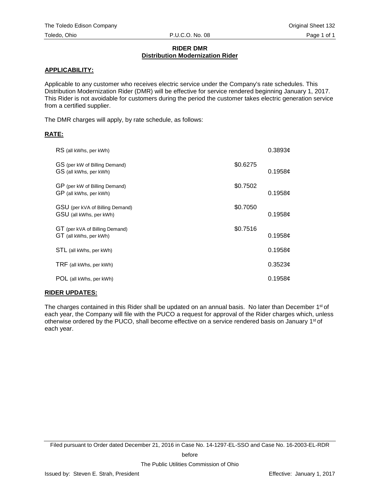#### **RIDER DMR Distribution Modernization Rider**

#### **APPLICABILITY:**

Applicable to any customer who receives electric service under the Company's rate schedules. This Distribution Modernization Rider (DMR) will be effective for service rendered beginning January 1, 2017. This Rider is not avoidable for customers during the period the customer takes electric generation service from a certified supplier.

The DMR charges will apply, by rate schedule, as follows:

## **RATE:**

| RS (all kWhs, per kWh)                                     |          | $0.3893$ ¢ |
|------------------------------------------------------------|----------|------------|
| GS (per kW of Billing Demand)<br>GS (all kWhs, per kWh)    | \$0.6275 | 0.1958c    |
| GP (per kW of Billing Demand)<br>GP (all kWhs, per kWh)    | \$0.7502 | 0.1958c    |
| GSU (per kVA of Billing Demand)<br>GSU (all kWhs, per kWh) | \$0.7050 | 0.1958c    |
| GT (per kVA of Billing Demand)<br>GT (all kWhs, per kWh)   | \$0.7516 | 0.1958c    |
| STL (all kWhs, per kWh)                                    |          | 0.1958c    |
| TRF (all kWhs, per kWh)                                    |          | 0.3523c    |
| POL (all kWhs, per kWh)                                    |          | 0.1958c    |

## **RIDER UPDATES:**

The charges contained in this Rider shall be updated on an annual basis. No later than December 1<sup>st</sup> of each year, the Company will file with the PUCO a request for approval of the Rider charges which, unless otherwise ordered by the PUCO, shall become effective on a service rendered basis on January 1st of each year.

Filed pursuant to Order dated December 21, 2016 in Case No. 14-1297-EL-SSO and Case No. 16-2003-EL-RDR